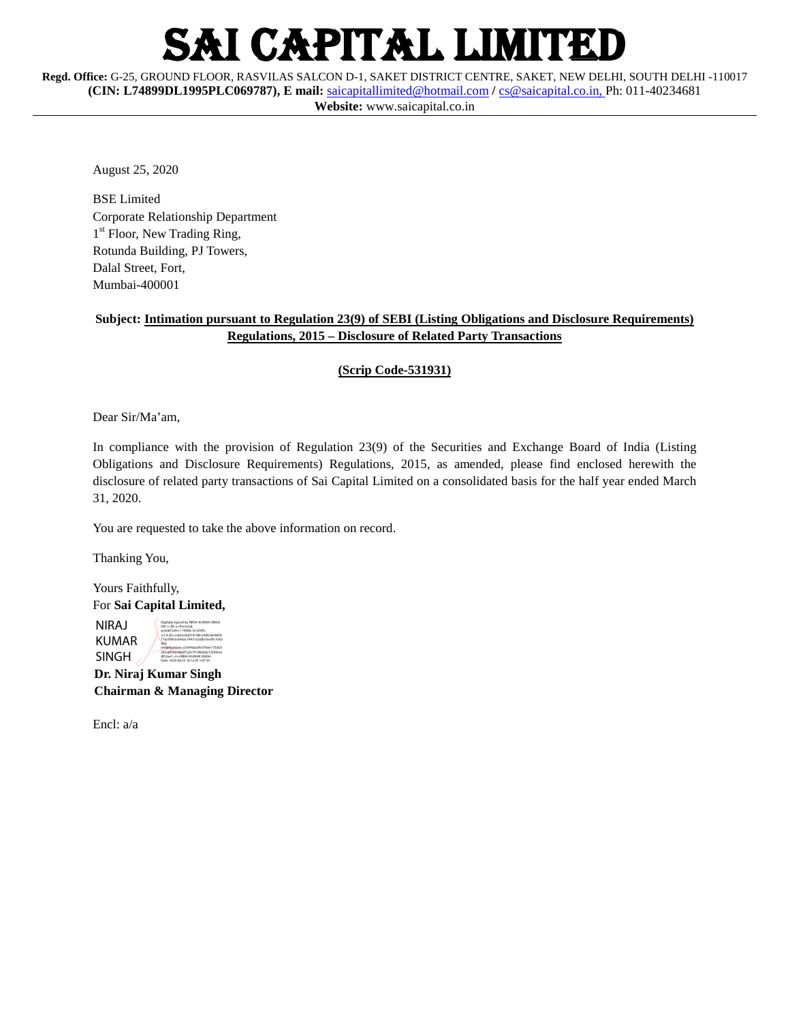# **CAPITAL LIMITED**

**Regd. Office:** G-25, GROUND FLOOR, RASVILAS SALCON D-1, SAKET DISTRICT CENTRE, SAKET, NEW DELHI, SOUTH DELHI -110017 **(CIN: L74899DL1995PLC069787), E mail:** [saicapitallimited@hotmail.com](mailto:saicapitallimited@hotmail.com) **/** [cs@saicapital.co.in,](mailto:cs@saicapital.co.in)  Ph: 011-40234681 **Website:** www.saicapital.co.in

August 25, 2020

BSE Limited Corporate Relationship Department 1<sup>st</sup> Floor, New Trading Ring, Rotunda Building, PJ Towers, Dalal Street, Fort, Mumbai-400001

## **Subject: Intimation pursuant to Regulation 23(9) of SEBI (Listing Obligations and Disclosure Requirements) Regulations, 2015 – Disclosure of Related Party Transactions**

#### **(Scrip Code-531931)**

Dear Sir/Ma'am,

In compliance with the provision of Regulation 23(9) of the Securities and Exchange Board of India (Listing Obligations and Disclosure Requirements) Regulations, 2015, as amended, please find enclosed herewith the disclosure of related party transactions of Sai Capital Limited on a consolidated basis for the half year ended March 31, 2020.

You are requested to take the above information on record.

Thanking You,

Yours Faithfully, For **Sai Capital Limited,**

NIRAJ KUMAR SINGH Digitally signed by NIRAJ KUMAR SINGH DN: c=IN, o=Personal, postalCode=110068, st=Delhi, 2.5.4.20=ccb65c8dd197d8c24db38c4858 77ac5f063c69dac7943132afb35ed913302 30d, serialNumber=c5e99daa0fc076ee175db5 295e8f54a76b6f7a257f1998d2b725f05e6 df23ae1, cn=NIRAJ KUMAR SINGH Date: 2020.08.25 18:12:45 +05'30'

 **Dr. Niraj Kumar Singh Chairman & Managing Director**

Encl: a/a